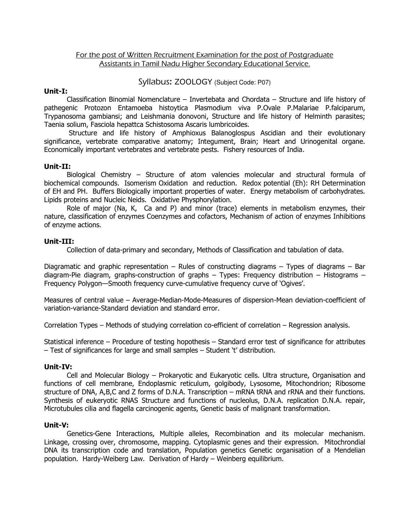## For the post of Written Recruitment Examination for the post of Postgraduate Assistants in Tamil Nadu Higher Secondary Educational Service.

### Syllabus: ZOOLOGY (Subject Code: P07)

### Unit-I:

Classification Binomial Nomenclature – Invertebata and Chordata – Structure and life history of pathegenic Protozon Entamoeba histoytica Plasmodium viva P.Ovale P.Malariae P.falciparum, Trypanosoma gambiansi; and Leishmania donovoni, Structure and life history of Helminth parasites; Taenia solium, Fasciola hepattca Schistosoma Ascaris lumbricoides.

 Structure and life history of Amphioxus Balanoglospus Ascidian and their evolutionary significance, vertebrate comparative anatomy; Integument, Brain; Heart and Urinogenital organe. Economically important vertebrates and vertebrate pests. Fishery resources of India.

### Unit-II:

 Biological Chemistry – Structure of atom valencies molecular and structural formula of biochemical compounds. Isomerism Oxidation and reduction. Redox potential (Eh): RH Determination of EH and PH. Buffers Biologically important properties of water. Energy metabolism of carbohydrates. Lipids proteins and Nucleic Neids. Oxidative Physphorylation.

Role of major (Na, K, Ca and P) and minor (trace) elements in metabolism enzymes, their nature, classification of enzymes Coenzymes and cofactors, Mechanism of action of enzymes Inhibitions of enzyme actions.

# Unit-III:

Collection of data-primary and secondary, Methods of Classification and tabulation of data.

Diagramatic and graphic representation – Rules of constructing diagrams – Types of diagrams – Bar diagram-Pie diagram, graphs-construction of graphs – Types: Frequency distribution – Histograms – Frequency Polygon—Smooth frequency curve-cumulative frequency curve of 'Ogives'.

Measures of central value – Average-Median-Mode-Measures of dispersion-Mean deviation-coefficient of variation-variance-Standard deviation and standard error.

Correlation Types – Methods of studying correlation co-efficient of correlation – Regression analysis.

Statistical inference – Procedure of testing hopothesis – Standard error test of significance for attributes – Test of significances for large and small samples – Student 't' distribution.

### Unit-IV:

 Cell and Molecular Biology – Prokaryotic and Eukaryotic cells. Ultra structure, Organisation and functions of cell membrane, Endoplasmic reticulum, golgibody, Lysosome, Mitochondrion; Ribosome structure of DNA, A,B,C and Z forms of D.N.A. Transcription – mRNA tRNA and rRNA and their functions. Synthesis of eukeryotic RNAS Structure and functions of nucleolus, D.N.A. replication D.N.A. repair, Microtubules cilia and flagella carcinogenic agents, Genetic basis of malignant transformation.

#### Unit-V:

 Genetics-Gene Interactions, Multiple alleles, Recombination and its molecular mechanism. Linkage, crossing over, chromosome, mapping. Cytoplasmic genes and their expression. Mitochrondial DNA its transcription code and translation, Population genetics Genetic organisation of a Mendelian population. Hardy-Weiberg Law. Derivation of Hardy – Weinberg equilibrium.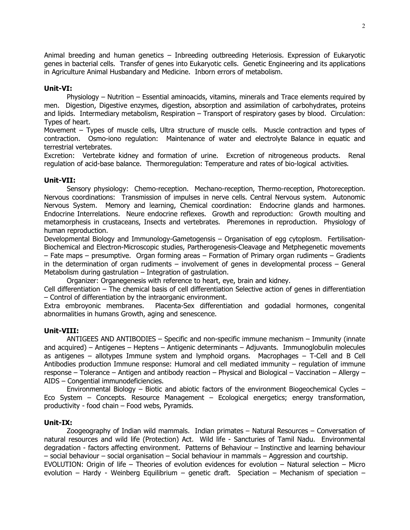Animal breeding and human genetics – Inbreeding outbreeding Heteriosis. Expression of Eukaryotic genes in bacterial cells. Transfer of genes into Eukaryotic cells. Genetic Engineering and its applications in Agriculture Animal Husbandary and Medicine. Inborn errors of metabolism.

## Unit-VI:

Physiology – Nutrition – Essential aminoacids, vitamins, minerals and Trace elements required by men. Digestion, Digestive enzymes, digestion, absorption and assimilation of carbohydrates, proteins and lipids. Intermediary metabolism, Respiration – Transport of respiratory gases by blood. Circulation: Types of heart.

Movement – Types of muscle cells, Ultra structure of muscle cells. Muscle contraction and types of contraction. Osmo-iono regulation: Maintenance of water and electrolyte Balance in equatic and terrestrial vertebrates.

Excretion: Vertebrate kidney and formation of urine. Excretion of nitrogeneous products. Renal regulation of acid-base balance. Thermoregulation: Temperature and rates of bio-logical activities.

# Unit-VII:

 Sensory physiology: Chemo-reception. Mechano-reception, Thermo-reception, Photoreception. Nervous coordinations: Transmission of impulses in nerve cells. Central Nervous system. Autonomic Nervous System. Memory and learning, Chemical coordination: Endocrine glands and harmones. Endocrine Interrelations. Neure endocrine reflexes. Growth and reproduction: Growth moulting and metamorphesis in crustaceans, Insects and vertebrates. Pheremones in reproduction. Physiology of human reproduction.

Developmental Biology and Immunology-Gametogensis – Organisation of egg cytoplosm. Fertilisation-Biochemical and Electron-Microscopic studies, Partherogenesis-Cleavage and Metphegenetic movements – Fate maps – presumptive. Organ forming areas – Formation of Primary organ rudiments – Gradients in the determination of organ rudiments – involvement of genes in developmental process – General Metabolism during gastrulation – Integration of gastrulation.

Organizer: Organegenesis with reference to heart, eye, brain and kidney.

Cell differentiation – The chemical basis of cell differentiation Selective action of genes in differentiation – Control of differentiation by the intraorganic environment.

Extra embroyonic membranes. Placenta-Sex differentiation and godadial hormones, congenital abnormalities in humans Growth, aging and senescence.

### Unit-VIII:

 ANTIGEES AND ANTIBODIES – Specific and non-specific immune mechanism – Immunity (innate and acquired) – Antigenes – Heptens – Antigenic determinants – Adjuvants. Immunoglobulin molecules as antigenes – allotypes Immune system and lymphoid organs. Macrophages – T-Cell and B Cell Antibodies production Immune response: Humoral and cell mediated immunity – regulation of immune response – Tolerance – Antigen and antibody reaction – Physical and Biological – Vaccination – Allergy – AIDS – Congential immunodeficiencies.

 Environmental Biology – Biotic and abiotic factors of the environment Biogeochemical Cycles – Eco System – Concepts. Resource Management – Ecological energetics; energy transformation, productivity - food chain – Food webs, Pyramids.

### Unit-IX:

 Zoogeography of Indian wild mammals. Indian primates – Natural Resources – Conversation of natural resources and wild life (Protection) Act. Wild life - Sancturies of Tamil Nadu. Environmental degradation - factors affecting environment. Patterns of Behaviour – Instinctive and learning behaviour – social behaviour – social organisation – Social behaviour in mammals – Aggression and courtship. EVOLUTION: Origin of life – Theories of evolution evidences for evolution – Natural selection – Micro evolution – Hardy - Weinberg Equilibrium – genetic draft. Speciation – Mechanism of speciation –